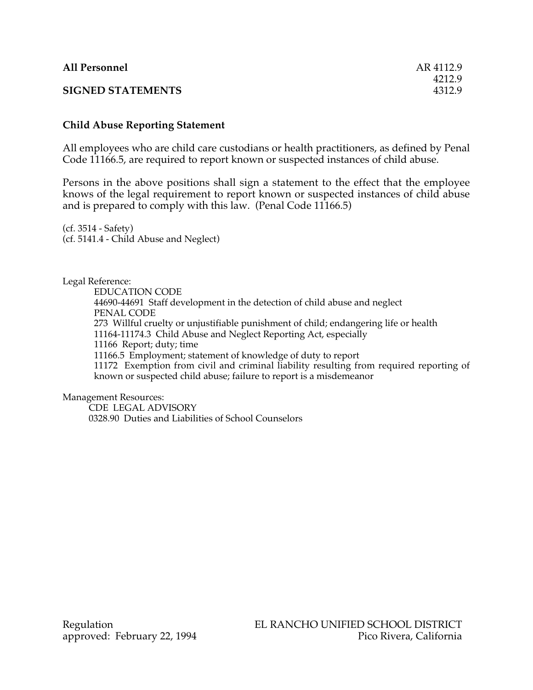| <b>All Personnel</b>     | AR 4112.9 |
|--------------------------|-----------|
|                          | 4212.9    |
| <b>SIGNED STATEMENTS</b> | 4312.9    |

## **Child Abuse Reporting Statement**

All employees who are child care custodians or health practitioners, as defined by Penal Code 11166.5, are required to report known or suspected instances of child abuse.

Persons in the above positions shall sign a statement to the effect that the employee knows of the legal requirement to report known or suspected instances of child abuse and is prepared to comply with this law. (Penal Code 11166.5)

(cf. 3514 - Safety) (cf. 5141.4 - Child Abuse and Neglect)

Legal Reference:

EDUCATION CODE 44690-44691 Staff development in the detection of child abuse and neglect PENAL CODE 273 Willful cruelty or unjustifiable punishment of child; endangering life or health 11164-11174.3 Child Abuse and Neglect Reporting Act, especially 11166 Report; duty; time 11166.5 Employment; statement of knowledge of duty to report 11172 Exemption from civil and criminal liability resulting from required reporting of known or suspected child abuse; failure to report is a misdemeanor

Management Resources:

CDE LEGAL ADVISORY 0328.90 Duties and Liabilities of School Counselors